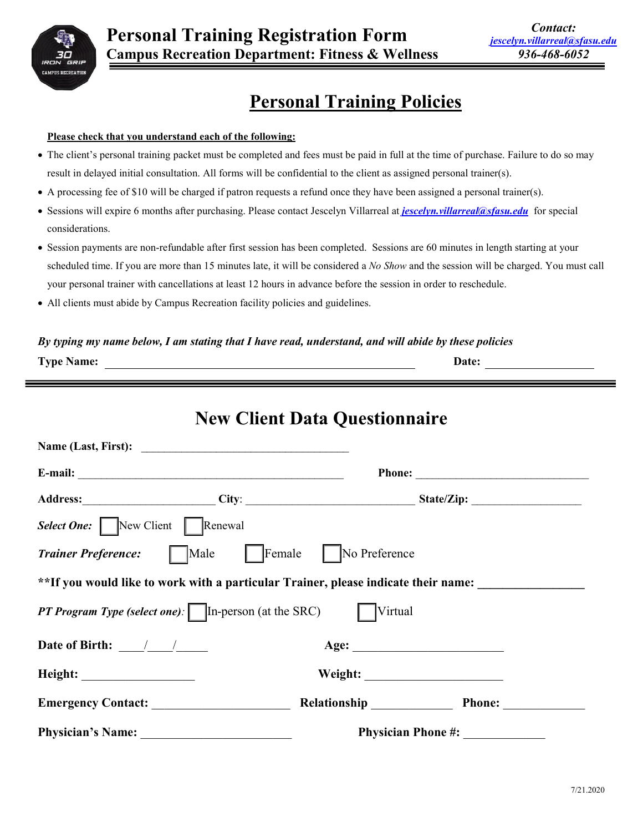

# **Personal Training Policies**

#### **Please check that you understand each of the following:**

- The client's personal training packet must be completed and fees must be paid in full at the time of purchase. Failure to do so may result in delayed initial consultation. All forms will be confidential to the client as assigned personal trainer(s).
- A processing fee of \$10 will be charged if patron requests a refund once they have been assigned a personal trainer(s).
- Sessions will expire 6 months after purchasing. Please contact Jescelyn Villarreal at *[jescelyn.villarreal@sfasu.edu](mailto:jescelyn.villarreal@sfasu.edu)* for special considerations.
- Session payments are non-refundable after first session has been completed. Sessions are 60 minutes in length starting at your scheduled time. If you are more than 15 minutes late, it will be considered a *No Show* and the session will be charged. You must call your personal trainer with cancellations at least 12 hours in advance before the session in order to reschedule.
- All clients must abide by Campus Recreation facility policies and guidelines.

#### *By typing my name below, I am stating that I have read, understand, and will abide by these policies*

|                                                                                                       | <b>New Client Data Questionnaire</b> |                     |
|-------------------------------------------------------------------------------------------------------|--------------------------------------|---------------------|
|                                                                                                       |                                      |                     |
|                                                                                                       |                                      |                     |
|                                                                                                       |                                      |                     |
| <b>Select One:</b> New Client Renewal                                                                 |                                      |                     |
| Trainer Preference: Male Female No Preference                                                         |                                      |                     |
| **If you would like to work with a particular Trainer, please indicate their name:                    |                                      |                     |
| <b>PT Program Type (select one):</b> $\boxed{\qquad}$ In-person (at the SRC) $\boxed{\qquad}$ Virtual |                                      |                     |
|                                                                                                       |                                      |                     |
|                                                                                                       |                                      |                     |
| <b>Emergency Contact:</b>                                                                             |                                      | Relationship Phone: |
|                                                                                                       |                                      |                     |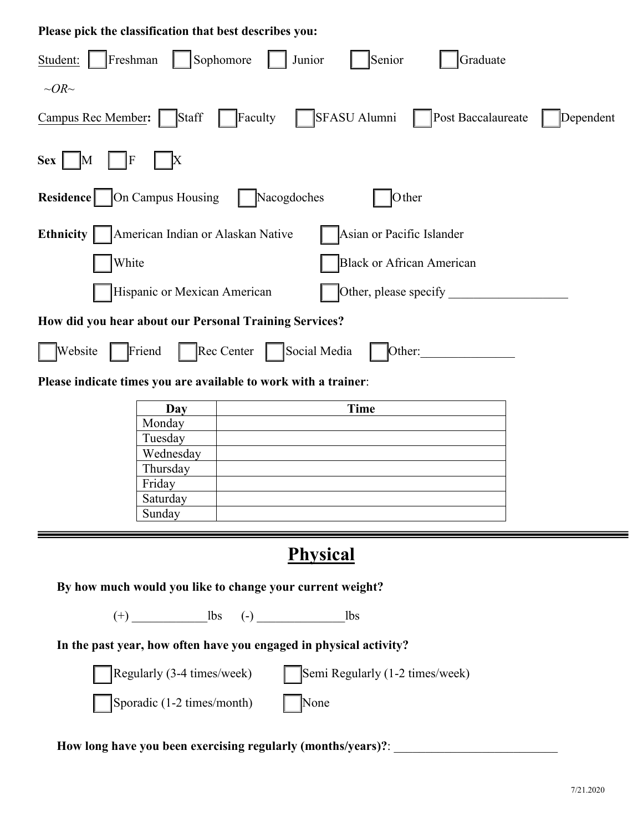| Please pick the classification that best describes you:                                          |  |  |  |  |  |  |
|--------------------------------------------------------------------------------------------------|--|--|--|--|--|--|
| Sophomore<br>Freshman<br>Graduate<br>Senior<br>Junior<br>Student:                                |  |  |  |  |  |  |
| $\sim$ OR $\sim$                                                                                 |  |  |  |  |  |  |
| SFASU Alumni<br>Post Baccalaureate<br>Campus Rec Member:<br>Staff<br>Faculty<br>Dependent        |  |  |  |  |  |  |
| $\mathbf F$<br><b>Sex</b><br>$\rm X$<br>M                                                        |  |  |  |  |  |  |
| On Campus Housing<br>Nacogdoches<br>Residence<br>Other                                           |  |  |  |  |  |  |
| Ethnicity<br>American Indian or Alaskan Native<br>Asian or Pacific Islander                      |  |  |  |  |  |  |
| White<br><b>Black or African American</b>                                                        |  |  |  |  |  |  |
| Hispanic or Mexican American<br>Other, please specify                                            |  |  |  |  |  |  |
| How did you hear about our Personal Training Services?                                           |  |  |  |  |  |  |
| Rec Center<br>Social Media<br>Website<br>Friend<br>Other:                                        |  |  |  |  |  |  |
| Please indicate times you are available to work with a trainer:                                  |  |  |  |  |  |  |
| <b>Time</b><br>Day<br>Monday<br>Tuesday<br>Wednesday<br>Thursday<br>Friday<br>Saturday<br>Sunday |  |  |  |  |  |  |
| <b>Physical</b>                                                                                  |  |  |  |  |  |  |
| By how much would you like to change your current weight?                                        |  |  |  |  |  |  |
|                                                                                                  |  |  |  |  |  |  |
| In the past year, how often have you engaged in physical activity?                               |  |  |  |  |  |  |
| Regularly (3-4 times/week)<br>Semi Regularly (1-2 times/week)                                    |  |  |  |  |  |  |
| Sporadic (1-2 times/month)<br>None                                                               |  |  |  |  |  |  |
| How long have you been exercising regularly (months/years)?: ____________________                |  |  |  |  |  |  |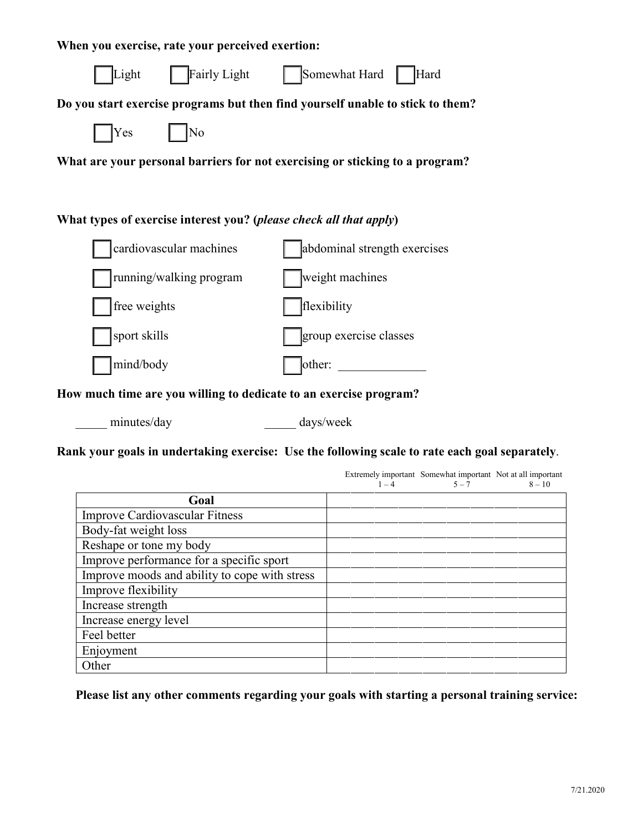| When you exercise, rate your perceived exertion:                               |                              |  |  |  |  |  |
|--------------------------------------------------------------------------------|------------------------------|--|--|--|--|--|
| Fairly Light<br>Light                                                          | Somewhat Hard<br>Hard        |  |  |  |  |  |
| Do you start exercise programs but then find yourself unable to stick to them? |                              |  |  |  |  |  |
| Yes<br>No                                                                      |                              |  |  |  |  |  |
| What are your personal barriers for not exercising or sticking to a program?   |                              |  |  |  |  |  |
|                                                                                |                              |  |  |  |  |  |
| What types of exercise interest you? ( <i>please check all that apply</i> )    |                              |  |  |  |  |  |
| cardiovascular machines                                                        | abdominal strength exercises |  |  |  |  |  |
| running/walking program                                                        | weight machines              |  |  |  |  |  |
| free weights                                                                   | flexibility                  |  |  |  |  |  |
| sport skills                                                                   | group exercise classes       |  |  |  |  |  |
| mind/body                                                                      | other:                       |  |  |  |  |  |
| How much time are you willing to dedicate to an exercise program?              |                              |  |  |  |  |  |
| minutes/day                                                                    | days/week                    |  |  |  |  |  |

**Rank your goals in undertaking exercise: Use the following scale to rate each goal separately**.

|                                               | $1 - 4$ | Extremely important Somewhat important Not at all important<br>$5 - 7$ | $8 - 10$ |
|-----------------------------------------------|---------|------------------------------------------------------------------------|----------|
| Goal                                          |         |                                                                        |          |
| <b>Improve Cardiovascular Fitness</b>         |         |                                                                        |          |
| Body-fat weight loss                          |         |                                                                        |          |
| Reshape or tone my body                       |         |                                                                        |          |
| Improve performance for a specific sport      |         |                                                                        |          |
| Improve moods and ability to cope with stress |         |                                                                        |          |
| Improve flexibility                           |         |                                                                        |          |
| Increase strength                             |         |                                                                        |          |
| Increase energy level                         |         |                                                                        |          |
| Feel better                                   |         |                                                                        |          |
| Enjoyment                                     |         |                                                                        |          |
| Other                                         |         |                                                                        |          |

**Please list any other comments regarding your goals with starting a personal training service:**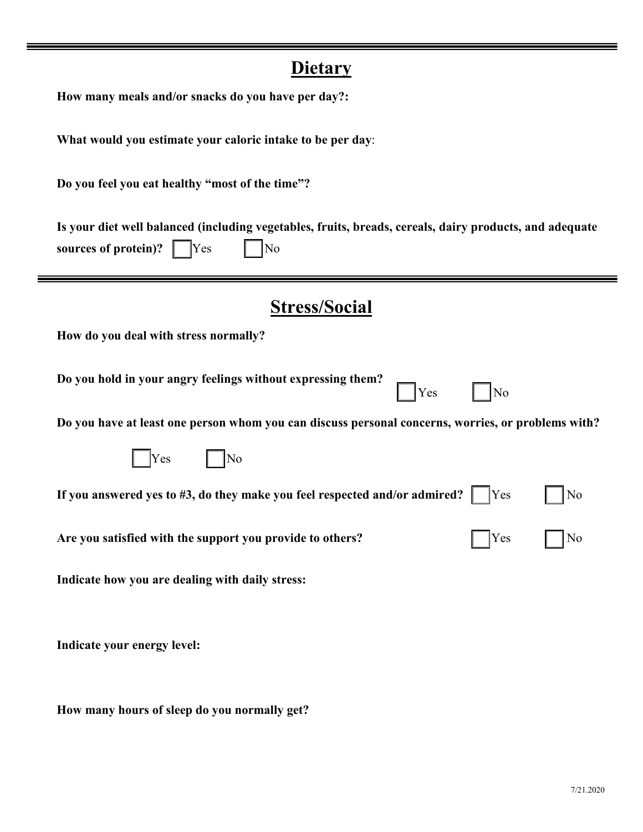| <u>Dietary</u>                                                                                                                                 |
|------------------------------------------------------------------------------------------------------------------------------------------------|
| How many meals and/or snacks do you have per day?:                                                                                             |
| What would you estimate your caloric intake to be per day:                                                                                     |
| Do you feel you eat healthy "most of the time"?                                                                                                |
| Is your diet well balanced (including vegetables, fruits, breads, cereals, dairy products, and adequate<br>sources of protein)?<br> No<br> Yes |
| <b>Stress/Social</b>                                                                                                                           |
| How do you deal with stress normally?                                                                                                          |
| Do you hold in your angry feelings without expressing them?<br>Yes<br>No                                                                       |
| Do you have at least one person whom you can discuss personal concerns, worries, or problems with?                                             |
| Yes<br> No                                                                                                                                     |
| If you answered yes to #3, do they make you feel respected and/or admired?<br>Yes<br>No                                                        |
| Are you satisfied with the support you provide to others?<br>Yes                                                                               |
| Indicate how you are dealing with daily stress:                                                                                                |
| Indicate your energy level:                                                                                                                    |

**How many hours of sleep do you normally get?**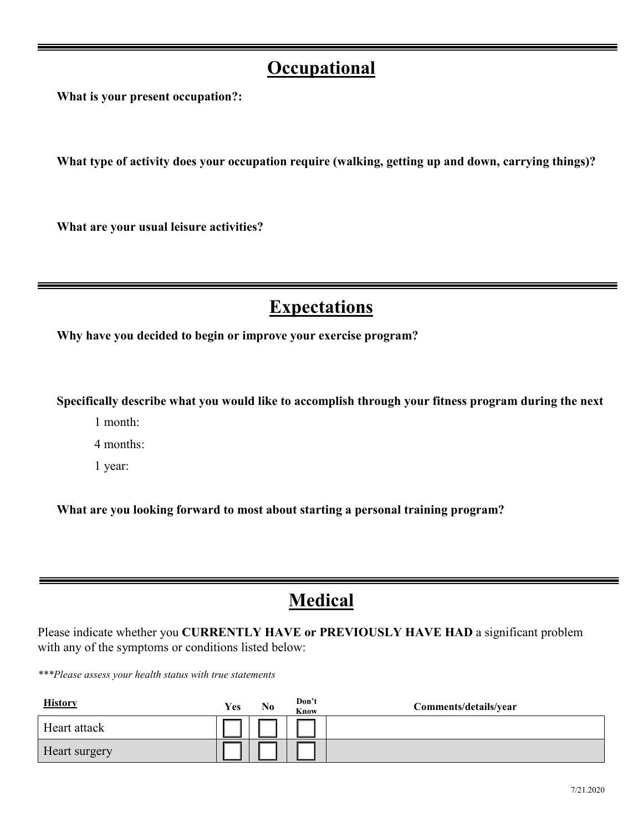### **Occupational**

**What is your present occupation?:**

**What type of activity does your occupation require (walking, getting up and down, carrying things)?** 

**What are your usual leisure activities?** 

## **Expectations**

**Why have you decided to begin or improve your exercise program?** 

**Specifically describe what you would like to accomplish through your fitness program during the next**

1 month:

4 months:

1 year:

**What are you looking forward to most about starting a personal training program?** 

### **Medical**

Please indicate whether you **CURRENTLY HAVE or PREVIOUSLY HAVE HAD** a significant problem with any of the symptoms or conditions listed below:

*\*\*\*Please assess your health status with true statements*

| <b>History</b> | Yes | No | Don't<br><b>Know</b> | Comments/details/year |
|----------------|-----|----|----------------------|-----------------------|
| Heart attack   |     |    |                      |                       |
| Heart surgery  |     |    |                      |                       |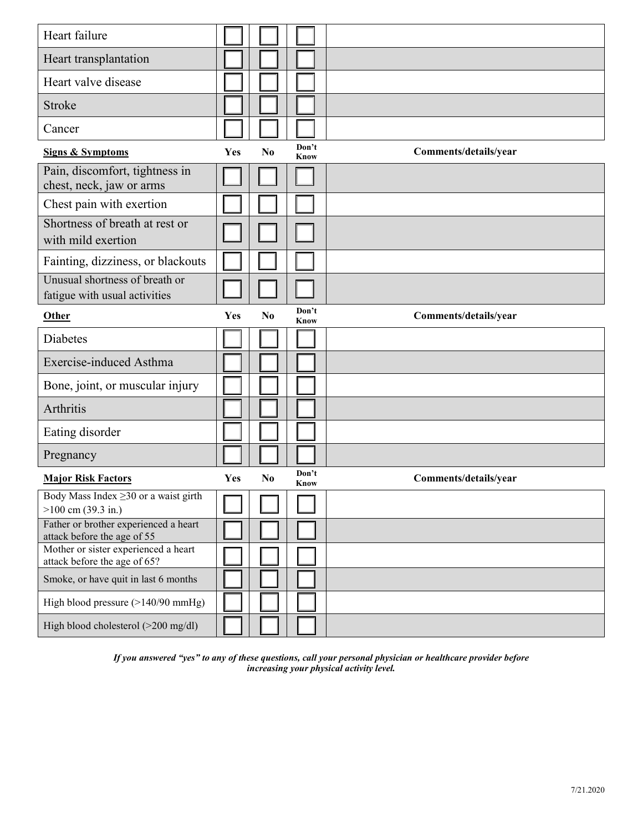| Heart failure                                                        |            |                |               |                       |
|----------------------------------------------------------------------|------------|----------------|---------------|-----------------------|
| Heart transplantation                                                |            |                |               |                       |
| Heart valve disease                                                  |            |                |               |                       |
| <b>Stroke</b>                                                        |            |                |               |                       |
| Cancer                                                               |            |                |               |                       |
| <b>Signs &amp; Symptoms</b>                                          | Yes        | N <sub>0</sub> | Don't<br>Know | Comments/details/year |
| Pain, discomfort, tightness in<br>chest, neck, jaw or arms           |            |                |               |                       |
| Chest pain with exertion                                             |            |                |               |                       |
| Shortness of breath at rest or<br>with mild exertion                 |            |                |               |                       |
| Fainting, dizziness, or blackouts                                    |            |                |               |                       |
| Unusual shortness of breath or<br>fatigue with usual activities      |            |                |               |                       |
| Other                                                                | Yes        | N <sub>0</sub> | Don't<br>Know | Comments/details/year |
| <b>Diabetes</b>                                                      |            |                |               |                       |
|                                                                      |            |                |               |                       |
| Exercise-induced Asthma                                              |            |                |               |                       |
| Bone, joint, or muscular injury                                      |            |                |               |                       |
| Arthritis                                                            |            |                |               |                       |
| Eating disorder                                                      |            |                |               |                       |
| Pregnancy                                                            |            |                |               |                       |
| <b>Major Risk Factors</b>                                            | <b>Yes</b> | N <sub>0</sub> | Don't<br>Know | Comments/details/year |
| Body Mass Index $\geq$ 30 or a waist girth<br>$>100$ cm (39.3 in.)   |            |                |               |                       |
| Father or brother experienced a heart                                |            |                |               |                       |
| attack before the age of 55<br>Mother or sister experienced a heart  |            |                |               |                       |
| attack before the age of 65?<br>Smoke, or have quit in last 6 months |            |                |               |                       |
| High blood pressure (>140/90 mmHg)                                   |            |                |               |                       |

*If you answered "yes" to any of these questions, call your personal physician or healthcare provider before increasing your physical activity level.*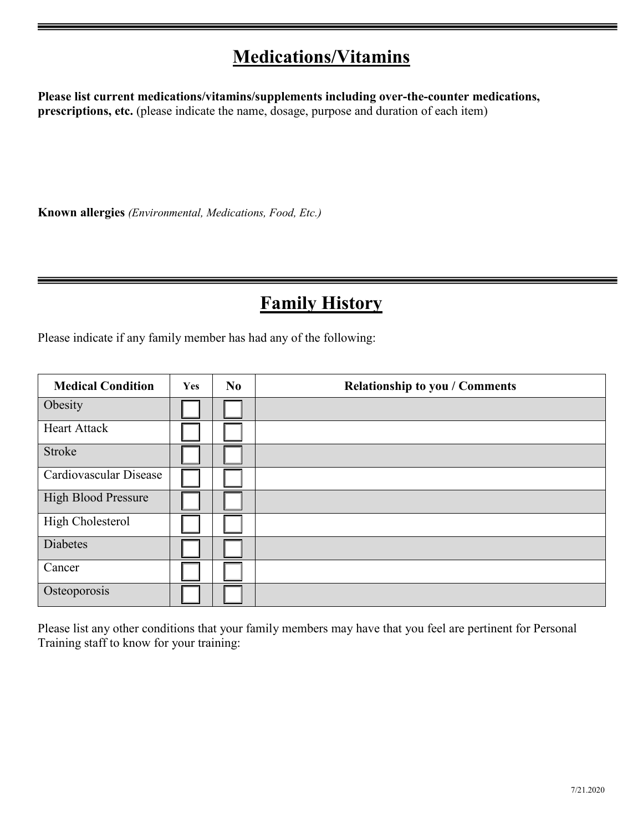### **Medications/Vitamins**

**Please list current medications/vitamins/supplements including over-the-counter medications, prescriptions, etc.** (please indicate the name, dosage, purpose and duration of each item)

**Known allergies** *(Environmental, Medications, Food, Etc.)* 

# **Family History**

Please indicate if any family member has had any of the following:

| <b>Medical Condition</b>   | Yes | N <sub>0</sub> | <b>Relationship to you / Comments</b> |
|----------------------------|-----|----------------|---------------------------------------|
| Obesity                    |     |                |                                       |
| <b>Heart Attack</b>        |     |                |                                       |
| Stroke                     |     |                |                                       |
| Cardiovascular Disease     |     |                |                                       |
| <b>High Blood Pressure</b> |     |                |                                       |
| <b>High Cholesterol</b>    |     |                |                                       |
| Diabetes                   |     |                |                                       |
| Cancer                     |     |                |                                       |
| Osteoporosis               |     |                |                                       |

Please list any other conditions that your family members may have that you feel are pertinent for Personal Training staff to know for your training: